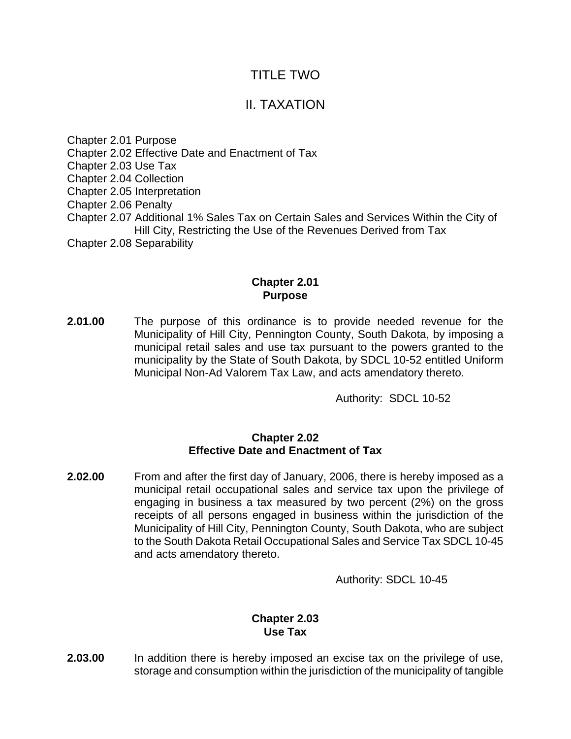# TITLE TWO

# II. TAXATION

Chapter 2.01 Purpose Chapter 2.02 Effective Date and Enactment of Tax Chapter 2.03 Use Tax Chapter 2.04 Collection Chapter 2.05 Interpretation Chapter 2.06 Penalty Chapter 2.07 Additional 1% Sales Tax on Certain Sales and Services Within the City of Hill City, Restricting the Use of the Revenues Derived from Tax Chapter 2.08 Separability

## **Chapter 2.01 Purpose**

**2.01.00** The purpose of this ordinance is to provide needed revenue for the Municipality of Hill City, Pennington County, South Dakota, by imposing a municipal retail sales and use tax pursuant to the powers granted to the municipality by the State of South Dakota, by SDCL 10-52 entitled Uniform Municipal Non-Ad Valorem Tax Law, and acts amendatory thereto.

Authority: SDCL 10-52

#### **Chapter 2.02 Effective Date and Enactment of Tax**

**2.02.00** From and after the first day of January, 2006, there is hereby imposed as a municipal retail occupational sales and service tax upon the privilege of engaging in business a tax measured by two percent (2%) on the gross receipts of all persons engaged in business within the jurisdiction of the Municipality of Hill City, Pennington County, South Dakota, who are subject to the South Dakota Retail Occupational Sales and Service Tax SDCL 10-45 and acts amendatory thereto.

Authority: SDCL 10-45

## **Chapter 2.03 Use Tax**

**2.03.00** In addition there is hereby imposed an excise tax on the privilege of use, storage and consumption within the jurisdiction of the municipality of tangible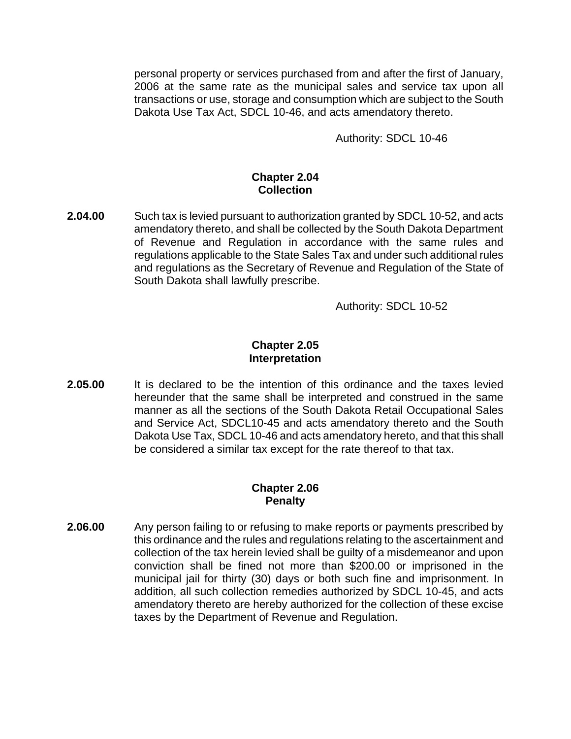personal property or services purchased from and after the first of January, 2006 at the same rate as the municipal sales and service tax upon all transactions or use, storage and consumption which are subject to the South Dakota Use Tax Act, SDCL 10-46, and acts amendatory thereto.

Authority: SDCL 10-46

#### **Chapter 2.04 Collection**

**2.04.00** Such tax is levied pursuant to authorization granted by SDCL 10-52, and acts amendatory thereto, and shall be collected by the South Dakota Department of Revenue and Regulation in accordance with the same rules and regulations applicable to the State Sales Tax and under such additional rules and regulations as the Secretary of Revenue and Regulation of the State of South Dakota shall lawfully prescribe.

Authority: SDCL 10-52

### **Chapter 2.05 Interpretation**

**2.05.00** It is declared to be the intention of this ordinance and the taxes levied hereunder that the same shall be interpreted and construed in the same manner as all the sections of the South Dakota Retail Occupational Sales and Service Act, SDCL10-45 and acts amendatory thereto and the South Dakota Use Tax, SDCL 10-46 and acts amendatory hereto, and that this shall be considered a similar tax except for the rate thereof to that tax.

## **Chapter 2.06 Penalty**

**2.06.00** Any person failing to or refusing to make reports or payments prescribed by this ordinance and the rules and regulations relating to the ascertainment and collection of the tax herein levied shall be guilty of a misdemeanor and upon conviction shall be fined not more than \$200.00 or imprisoned in the municipal jail for thirty (30) days or both such fine and imprisonment. In addition, all such collection remedies authorized by SDCL 10-45, and acts amendatory thereto are hereby authorized for the collection of these excise taxes by the Department of Revenue and Regulation.